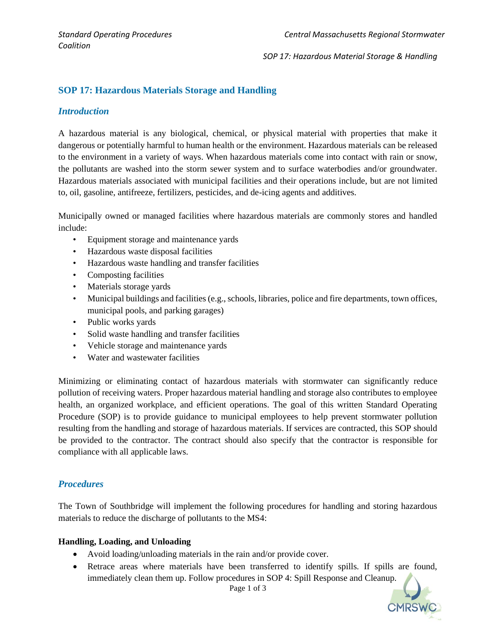*SOP 17: Hazardous Material Storage & Handling* 

## **SOP 17: Hazardous Materials Storage and Handling**

#### *Introduction*

A hazardous material is any biological, chemical, or physical material with properties that make it dangerous or potentially harmful to human health or the environment. Hazardous materials can be released to the environment in a variety of ways. When hazardous materials come into contact with rain or snow, the pollutants are washed into the storm sewer system and to surface waterbodies and/or groundwater. Hazardous materials associated with municipal facilities and their operations include, but are not limited to, oil, gasoline, antifreeze, fertilizers, pesticides, and de-icing agents and additives.

Municipally owned or managed facilities where hazardous materials are commonly stores and handled include:

- Equipment storage and maintenance yards
- Hazardous waste disposal facilities
- Hazardous waste handling and transfer facilities
- Composting facilities
- Materials storage yards
- Municipal buildings and facilities (e.g., schools, libraries, police and fire departments, town offices, municipal pools, and parking garages)
- Public works yards
- Solid waste handling and transfer facilities
- Vehicle storage and maintenance yards
- Water and wastewater facilities

Minimizing or eliminating contact of hazardous materials with stormwater can significantly reduce pollution of receiving waters. Proper hazardous material handling and storage also contributes to employee health, an organized workplace, and efficient operations. The goal of this written Standard Operating Procedure (SOP) is to provide guidance to municipal employees to help prevent stormwater pollution resulting from the handling and storage of hazardous materials. If services are contracted, this SOP should be provided to the contractor. The contract should also specify that the contractor is responsible for compliance with all applicable laws.

### *Procedures*

The Town of Southbridge will implement the following procedures for handling and storing hazardous materials to reduce the discharge of pollutants to the MS4:

#### **Handling, Loading, and Unloading**

- Avoid loading/unloading materials in the rain and/or provide cover.
- Retrace areas where materials have been transferred to identify spills. If spills are found, immediately clean them up. Follow procedures in SOP 4: Spill Response and Cleanup.

Page 1 of 3

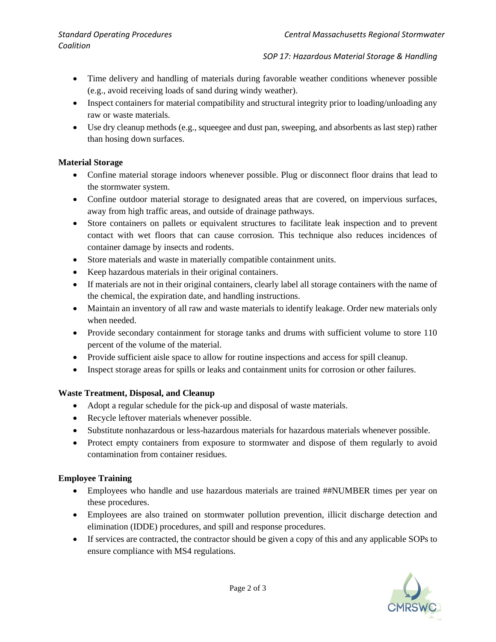#### *SOP 17: Hazardous Material Storage & Handling*

- Time delivery and handling of materials during favorable weather conditions whenever possible (e.g., avoid receiving loads of sand during windy weather).
- Inspect containers for material compatibility and structural integrity prior to loading/unloading any raw or waste materials.
- Use dry cleanup methods (e.g., squeegee and dust pan, sweeping, and absorbents as last step) rather than hosing down surfaces.

## **Material Storage**

- Confine material storage indoors whenever possible. Plug or disconnect floor drains that lead to the stormwater system.
- Confine outdoor material storage to designated areas that are covered, on impervious surfaces, away from high traffic areas, and outside of drainage pathways.
- Store containers on pallets or equivalent structures to facilitate leak inspection and to prevent contact with wet floors that can cause corrosion. This technique also reduces incidences of container damage by insects and rodents.
- Store materials and waste in materially compatible containment units.
- Keep hazardous materials in their original containers.
- If materials are not in their original containers, clearly label all storage containers with the name of the chemical, the expiration date, and handling instructions.
- Maintain an inventory of all raw and waste materials to identify leakage. Order new materials only when needed.
- Provide secondary containment for storage tanks and drums with sufficient volume to store 110 percent of the volume of the material.
- Provide sufficient aisle space to allow for routine inspections and access for spill cleanup.
- Inspect storage areas for spills or leaks and containment units for corrosion or other failures.

# **Waste Treatment, Disposal, and Cleanup**

- Adopt a regular schedule for the pick-up and disposal of waste materials.
- Recycle leftover materials whenever possible.
- Substitute nonhazardous or less-hazardous materials for hazardous materials whenever possible.
- Protect empty containers from exposure to stormwater and dispose of them regularly to avoid contamination from container residues.

# **Employee Training**

- Employees who handle and use hazardous materials are trained ##NUMBER times per year on these procedures.
- Employees are also trained on stormwater pollution prevention, illicit discharge detection and elimination (IDDE) procedures, and spill and response procedures.
- If services are contracted, the contractor should be given a copy of this and any applicable SOPs to ensure compliance with MS4 regulations.